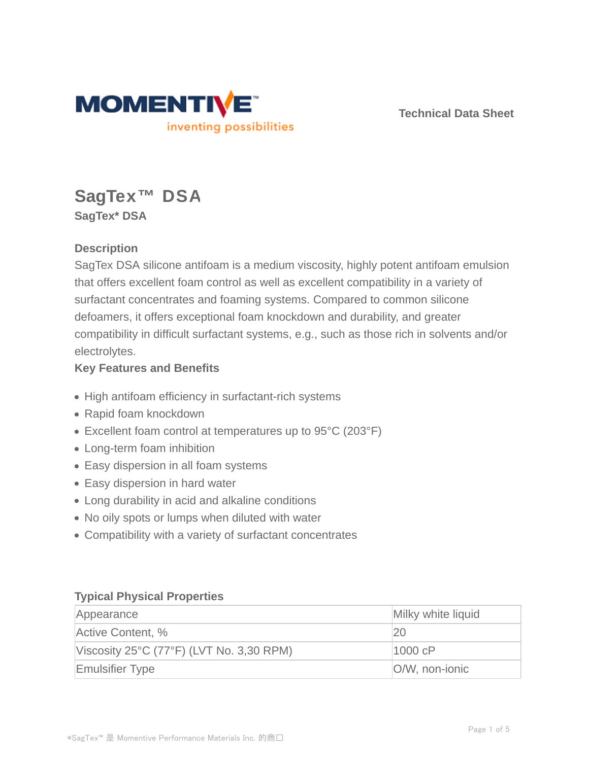

**Technical Data Sheet**

# **SagTex™ DSA SagTex\* DSA**

## **Description**

SagTex DSA silicone antifoam is a medium viscosity, highly potent antifoam emulsion that offers excellent foam control as well as excellent compatibility in a variety of surfactant concentrates and foaming systems. Compared to common silicone defoamers, it offers exceptional foam knockdown and durability, and greater compatibility in difficult surfactant systems, e.g., such as those rich in solvents and/or electrolytes.

### **Key Features and Benefits**

- High antifoam efficiency in surfactant-rich systems
- Rapid foam knockdown
- Excellent foam control at temperatures up to 95°C (203°F)
- Long-term foam inhibition
- Easy dispersion in all foam systems
- Easy dispersion in hard water
- Long durability in acid and alkaline conditions
- No oily spots or lumps when diluted with water
- Compatibility with a variety of surfactant concentrates

#### **Typical Physical Properties**

| Appearance                                                    | Milky white liquid |
|---------------------------------------------------------------|--------------------|
| Active Content, %                                             | 20                 |
| Viscosity $25^{\circ}$ C (77 $^{\circ}$ F) (LVT No. 3,30 RPM) | 1000 cP            |
| <b>Emulsifier Type</b>                                        | O/W, non-ionic     |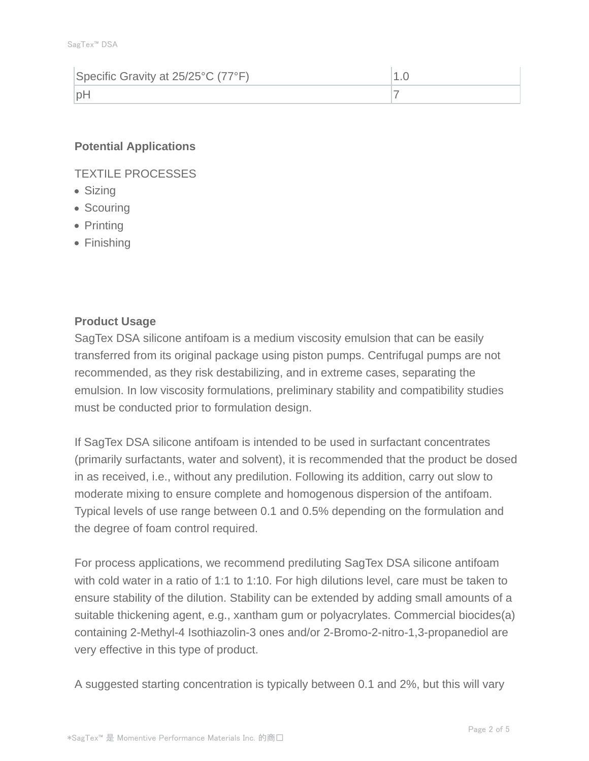| Specific Gravity at 25/25°C (77°F) |  |
|------------------------------------|--|
| nF                                 |  |

#### **Potential Applications**

TEXTILE PROCESSES

- Sizing
- Scouring
- Printing
- Finishing

### **Product Usage**

SagTex DSA silicone antifoam is a medium viscosity emulsion that can be easily transferred from its original package using piston pumps. Centrifugal pumps are not recommended, as they risk destabilizing, and in extreme cases, separating the emulsion. In low viscosity formulations, preliminary stability and compatibility studies must be conducted prior to formulation design.

If SagTex DSA silicone antifoam is intended to be used in surfactant concentrates (primarily surfactants, water and solvent), it is recommended that the product be dosed in as received, i.e., without any predilution. Following its addition, carry out slow to moderate mixing to ensure complete and homogenous dispersion of the antifoam. Typical levels of use range between 0.1 and 0.5% depending on the formulation and the degree of foam control required.

For process applications, we recommend prediluting SagTex DSA silicone antifoam with cold water in a ratio of 1:1 to 1:10. For high dilutions level, care must be taken to ensure stability of the dilution. Stability can be extended by adding small amounts of a suitable thickening agent, e.g., xantham gum or polyacrylates. Commercial biocides(a) containing 2-Methyl-4 Isothiazolin-3 ones and/or 2-Bromo-2-nitro-1,3-propanediol are very effective in this type of product.

A suggested starting concentration is typically between 0.1 and 2%, but this will vary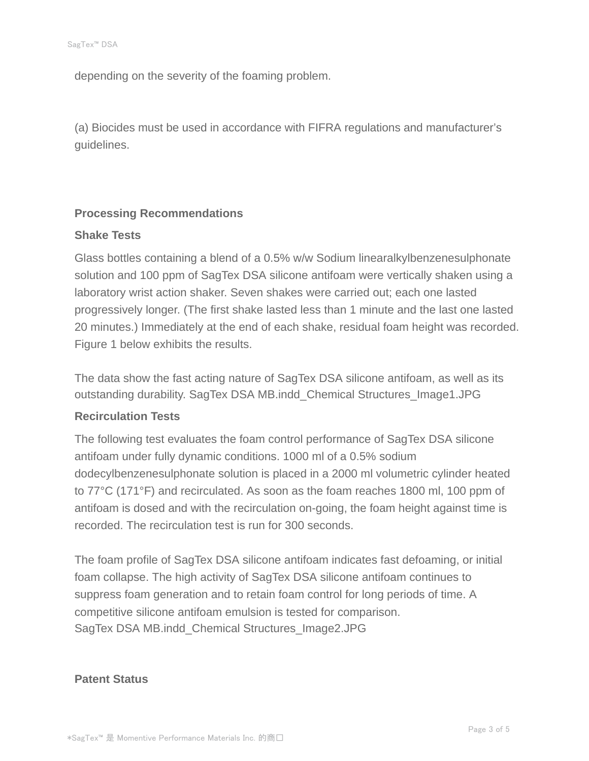depending on the severity of the foaming problem.

(a) Biocides must be used in accordance with FIFRA regulations and manufacturer's guidelines.

### **Processing Recommendations**

#### **Shake Tests**

Glass bottles containing a blend of a 0.5% w/w Sodium linearalkylbenzenesulphonate solution and 100 ppm of SagTex DSA silicone antifoam were vertically shaken using a laboratory wrist action shaker. Seven shakes were carried out; each one lasted progressively longer. (The first shake lasted less than 1 minute and the last one lasted 20 minutes.) Immediately at the end of each shake, residual foam height was recorded. Figure 1 below exhibits the results.

The data show the fast acting nature of SagTex DSA silicone antifoam, as well as its outstanding durability. SagTex DSA MB.indd\_Chemical Structures\_Image1.JPG

#### **Recirculation Tests**

The following test evaluates the foam control performance of SagTex DSA silicone antifoam under fully dynamic conditions. 1000 ml of a 0.5% sodium dodecylbenzenesulphonate solution is placed in a 2000 ml volumetric cylinder heated to 77°C (171°F) and recirculated. As soon as the foam reaches 1800 ml, 100 ppm of antifoam is dosed and with the recirculation on-going, the foam height against time is recorded. The recirculation test is run for 300 seconds.

The foam profile of SagTex DSA silicone antifoam indicates fast defoaming, or initial foam collapse. The high activity of SagTex DSA silicone antifoam continues to suppress foam generation and to retain foam control for long periods of time. A competitive silicone antifoam emulsion is tested for comparison. SagTex DSA MB.indd\_Chemical Structures\_Image2.JPG

#### **Patent Status**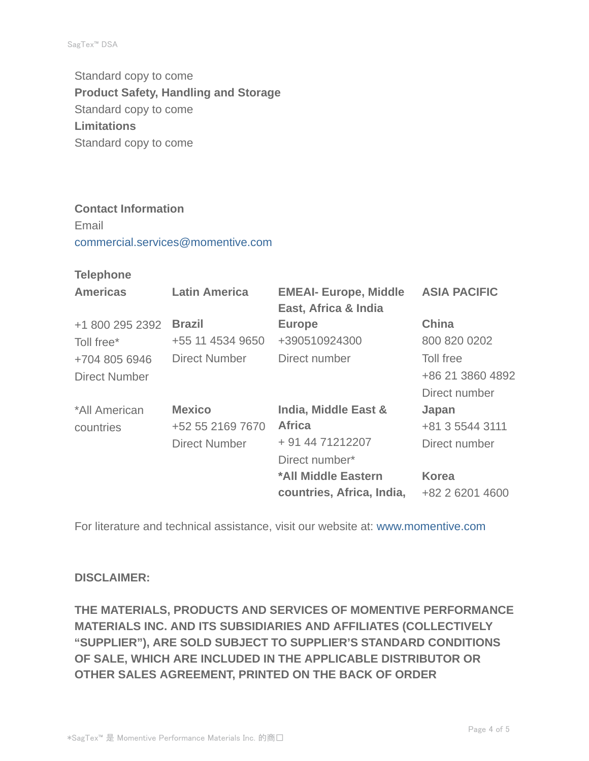Standard copy to come **Product Safety, Handling and Storage** Standard copy to come **Limitations** Standard copy to come

#### **Contact Information**

Email commercial.services@momentive.com

**Telephone**

| <b>Americas</b>      | <b>Latin America</b> | <b>EMEAI- Europe, Middle</b><br>East, Africa & India | <b>ASIA PACIFIC</b> |
|----------------------|----------------------|------------------------------------------------------|---------------------|
| +1 800 295 2392      | <b>Brazil</b>        | <b>Europe</b>                                        | <b>China</b>        |
| Toll free*           | +55 11 4534 9650     | +390510924300                                        | 800 820 0202        |
| +704 805 6946        | <b>Direct Number</b> | Direct number                                        | Toll free           |
| <b>Direct Number</b> |                      |                                                      | +86 21 3860 4892    |
|                      |                      |                                                      | Direct number       |
| *All American        | <b>Mexico</b>        | India, Middle East &                                 | Japan               |
| countries            | +52 55 2169 7670     | <b>Africa</b>                                        | +81 3 5544 3111     |
|                      | <b>Direct Number</b> | + 91 44 71212207                                     | Direct number       |
|                      |                      | Direct number*                                       |                     |
|                      |                      | *All Middle Eastern                                  | <b>Korea</b>        |
|                      |                      | countries, Africa, India,                            | +82 2 6201 4600     |

For literature and technical assistance, visit our website at: www.momentive.com

#### **DISCLAIMER:**

**THE MATERIALS, PRODUCTS AND SERVICES OF MOMENTIVE PERFORMANCE MATERIALS INC. AND ITS SUBSIDIARIES AND AFFILIATES (COLLECTIVELY "SUPPLIER"), ARE SOLD SUBJECT TO SUPPLIER'S STANDARD CONDITIONS OF SALE, WHICH ARE INCLUDED IN THE APPLICABLE DISTRIBUTOR OR OTHER SALES AGREEMENT, PRINTED ON THE BACK OF ORDER**